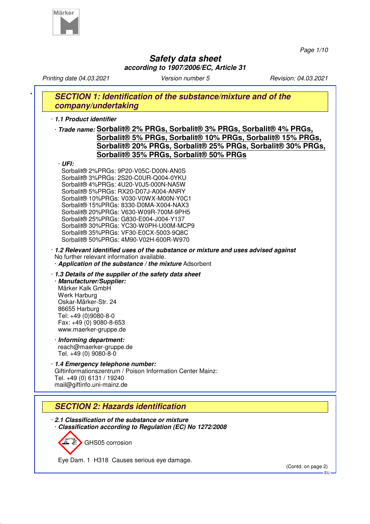

*Page 1/10*

# **Safety data sheet according to 1907/2006/EC, Article 31**

*Printing date 04.03.2021 Version number 5 Revision: 04.03.2021* **SECTION 1: Identification of the substance/mixture and of the company/undertaking** · **1.1 Product identifier** · **Trade name: Sorbalit® 2% PRGs, Sorbalit® 3% PRGs, Sorbalit® 4% PRGs, Sorbalit® 5% PRGs, Sorbalit® 10% PRGs, Sorbalit® 15% PRGs, Sorbalit® 20% PRGs, Sorbalit® 25% PRGs, Sorbalit® 30% PRGs, Sorbalit® 35% PRGs, Sorbalit® 50% PRGs** · **UFI:** Sorbalit® 2%PRGs: 9P20-V05C-D00N-AN0S Sorbalit® 3%PRGs: 2S20-C0UR-Q004-0YKU Sorbalit® 4%PRGs: 4U20-V0J5-000N-NA5W Sorbalit® 5%PRGs: RX20-D07J-A004-ANRY Sorbalit® 10%PRGs: V030-V0WX-M00N-Y0C1 Sorbalit® 15%PRGs: 8330-D0MA-X004-NAX3 Sorbalit® 20%PRGs: V630-W09R-700M-9PH5 Sorbalit® 25%PRGs: G830-E004-J004-Y137 Sorbalit® 30%PRGs: YC30-W0PH-U00M-MCP9 Sorbalit® 35%PRGs: VF30-E0CX-5003-9Q8C Sorbalit® 50%PRGs: 4M90-V02H-600R-W970 · **1.2 Relevant identified uses of the substance or mixture and uses advised against** No further relevant information available. · **Application of the substance / the mixture** Adsorbent · **1.3 Details of the supplier of the safety data sheet** · **Manufacturer/Supplier:** Märker Kalk GmbH Werk Harburg Oskar-Märker-Str. 24 86655 Harburg Tel: +49 (0)9080-8-0 Fax: +49 (0) 9080-8-653 www.maerker-gruppe.de · **Informing department:** reach@maerker-gruppe.de Tel. +49 (0) 9080-8-0 · **1.4 Emergency telephone number:** Giftinformationszentrum / Poison Information Center Mainz: Tel. +49 (0) 6131 / 19240 mail@giftinfo.uni-mainz.de **SECTION 2: Hazards identification** · **2.1 Classification of the substance or mixture** · **Classification according to Regulation (EC) No 1272/2008**

GHS05 corrosion

Eye Dam. 1 H318 Causes serious eye damage.

(Contd. on page 2)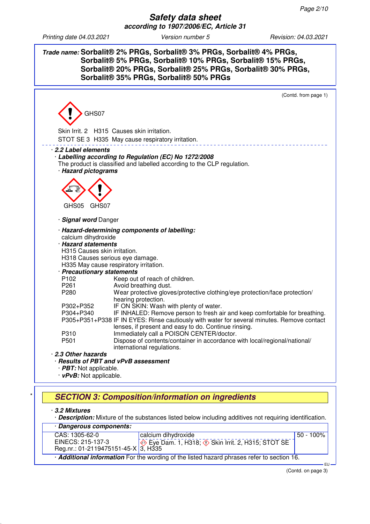# **Trade name: Sorbalit® 2% PRGs, Sorbalit® 3% PRGs, Sorbalit® 4% PRGs, Sorbalit® 5% PRGs, Sorbalit® 10% PRGs, Sorbalit® 15% PRGs, Sorbalit® 20% PRGs, Sorbalit® 25% PRGs, Sorbalit® 30% PRGs, Sorbalit® 35% PRGs, Sorbalit® 50% PRGs**



· **3.2 Mixtures**

· **Description:** Mixture of the substances listed below including additives not requiring identification.

| · Dangerous components:             |                                                                                                          |           |
|-------------------------------------|----------------------------------------------------------------------------------------------------------|-----------|
| CAS: 1305-62-0                      | calcium dihydroxide                                                                                      | 50 - 100% |
| EINECS: 215-137-3                   | $\overline{\Leftrightarrow}$ Eye Dam. 1, H318; $\overline{\Leftrightarrow}$ Skin Irrit. 2, H315; STOT SE |           |
| Reg.nr.: 01-2119475151-45-X 3, H335 |                                                                                                          |           |
|                                     | Additional information For the wording of the listed hazard phrases refer to section 16.                 |           |

 EU (Contd. on page 3)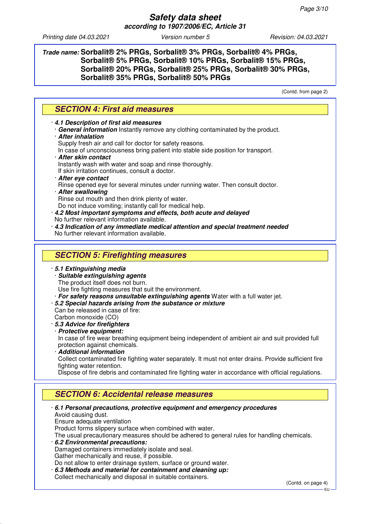**Trade name: Sorbalit® 2% PRGs, Sorbalit® 3% PRGs, Sorbalit® 4% PRGs, Sorbalit® 5% PRGs, Sorbalit® 10% PRGs, Sorbalit® 15% PRGs, Sorbalit® 20% PRGs, Sorbalit® 25% PRGs, Sorbalit® 30% PRGs, Sorbalit® 35% PRGs, Sorbalit® 50% PRGs**

(Contd. from page 2)

| <b>SECTION 4: First aid measures</b>                                                                                                          |
|-----------------------------------------------------------------------------------------------------------------------------------------------|
| 4.1 Description of first aid measures<br>· General information Instantly remove any clothing contaminated by the product.                     |
| <b>After inhalation</b>                                                                                                                       |
| Supply fresh air and call for doctor for safety reasons.<br>In case of unconsciousness bring patient into stable side position for transport. |
| · After skin contact                                                                                                                          |
| Instantly wash with water and soap and rinse thoroughly.                                                                                      |
| If skin irritation continues, consult a doctor.                                                                                               |
| After eye contact<br>Rinse opened eye for several minutes under running water. Then consult doctor.                                           |
| · After swallowing                                                                                                                            |
| Rinse out mouth and then drink plenty of water.                                                                                               |
| Do not induce vomiting; instantly call for medical help.<br>· 4.2 Most important symptoms and effects, both acute and delayed                 |
| No further relevant information available.                                                                                                    |
| 1.4.3 Indication of any immediate medical attention and special treatment needed                                                              |
| No further relevant information available.                                                                                                    |
|                                                                                                                                               |
| <b>SECTION 5: Firefighting measures</b>                                                                                                       |
| · 5.1 Extinguishing media                                                                                                                     |
| · Suitable extinguishing agents                                                                                                               |
| The product itself does not burn.<br>Use fire fighting measures that suit the environment.                                                    |
| · For safety reasons unsuitable extinguishing agents Water with a full water jet.                                                             |
| .5.2 Special hazards arising from the substance or mixture                                                                                    |
| Can be released in case of fire:                                                                                                              |
| Carbon monoxide (CO)                                                                                                                          |
| · 5.3 Advice for firefighters<br>· Protective equipment:                                                                                      |
| In case of fire wear breathing equipment being independent of ambient air and suit provided full                                              |
| protection against chemicals.                                                                                                                 |
| · Additional information                                                                                                                      |
| Collect contaminated fire fighting water separately. It must not enter drains. Provide sufficient fire<br>fighting water retention.           |
| Dispose of fire debris and contaminated fire fighting water in accordance with official regulations.                                          |
|                                                                                                                                               |
| <b>SECTION 6: Accidental release measures</b>                                                                                                 |
| ⋅ 6.1 Personal precautions, protective equipment and emergency procedures                                                                     |
| Avoid causing dust.                                                                                                                           |
| Ensure adequate ventilation                                                                                                                   |
| Product forms slippery surface when combined with water.                                                                                      |
| The usual precautionary measures should be adhered to general rules for handling chemicals.<br>6.2 Environmental precautions:                 |
| Damaged containers immediately isolate and seal.                                                                                              |
| Gather mechanically and reuse, if possible.                                                                                                   |
| Do not allow to enter drainage system, surface or ground water.                                                                               |
| 6.3 Methods and material for containment and cleaning up:                                                                                     |
| Collect mechanically and disposal in suitable containers.<br>(Contd. on page 4)                                                               |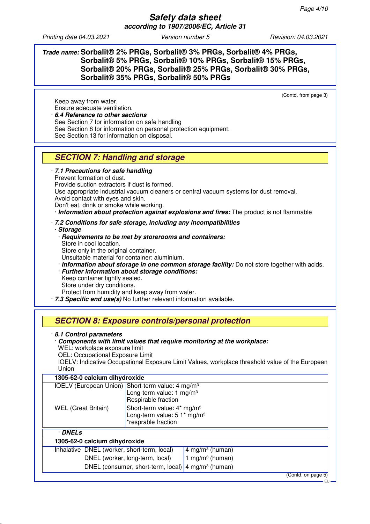Keep away from water.

## **Trade name: Sorbalit® 2% PRGs, Sorbalit® 3% PRGs, Sorbalit® 4% PRGs, Sorbalit® 5% PRGs, Sorbalit® 10% PRGs, Sorbalit® 15% PRGs, Sorbalit® 20% PRGs, Sorbalit® 25% PRGs, Sorbalit® 30% PRGs, Sorbalit® 35% PRGs, Sorbalit® 50% PRGs**

(Contd. from page 3)

Ensure adequate ventilation. · **6.4 Reference to other sections** See Section 7 for information on safe handling See Section 8 for information on personal protection equipment. See Section 13 for information on disposal.

# **SECTION 7: Handling and storage**

#### · **7.1 Precautions for safe handling** Prevent formation of dust. Provide suction extractors if dust is formed. Use appropriate industrial vacuum cleaners or central vacuum systems for dust removal. Avoid contact with eyes and skin. Don't eat, drink or smoke while working. · **Information about protection against explosions and fires:** The product is not flammable · **7.2 Conditions for safe storage, including any incompatibilities** · **Storage** · **Requirements to be met by storerooms and containers:** Store in cool location. Store only in the original container. Unsuitable material for container: aluminium. · **Information about storage in one common storage facility:** Do not store together with acids. · **Further information about storage conditions:** Keep container tightly sealed. Store under dry conditions. Protect from humidity and keep away from water. · **7.3 Specific end use(s)** No further relevant information available.

# **SECTION 8: Exposure controls/personal protection**

## · **8.1 Control parameters**

#### · **Components with limit values that require monitoring at the workplace:** WEL: workplace exposure limit

OEL: Occupational Exposure Limit

IOELV: Indicative Occupational Exposure Limit Values, workplace threshold value of the European Union

## **1305-62-0 calcium dihydroxide**

| IOELV (European Union) Short-term value: $4 \text{ mg/m}^3$ | Long-term value: $1 \text{ mg/m}^3$<br>Respirable fraction                                               |                               |                    |
|-------------------------------------------------------------|----------------------------------------------------------------------------------------------------------|-------------------------------|--------------------|
| <b>WEL (Great Britain)</b>                                  | Short-term value: 4* mg/m <sup>3</sup><br>Long-term value: 5 1* mg/m <sup>3</sup><br>*resprable fraction |                               |                    |
| · DNELs                                                     |                                                                                                          |                               |                    |
| 1305-62-0 calcium dihydroxide                               |                                                                                                          |                               |                    |
| Inhalative   DNEL (worker, short-term, local)               |                                                                                                          | 4 mg/m <sup>3</sup> (human)   |                    |
|                                                             | DNEL (worker, long-term, local)                                                                          | 1 mg/m <sup>3</sup> (human)   |                    |
|                                                             | DNEL (consumer, short-term, local)                                                                       | $4$ mg/m <sup>3</sup> (human) |                    |
|                                                             |                                                                                                          |                               | (Contd. on page 5) |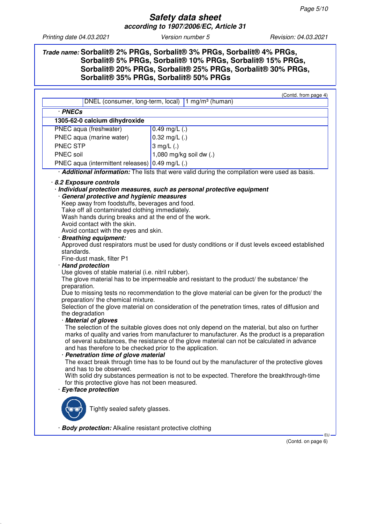## **Trade name: Sorbalit® 2% PRGs, Sorbalit® 3% PRGs, Sorbalit® 4% PRGs, Sorbalit® 5% PRGs, Sorbalit® 10% PRGs, Sorbalit® 15% PRGs, Sorbalit® 20% PRGs, Sorbalit® 25% PRGs, Sorbalit® 30% PRGs, Sorbalit® 35% PRGs, Sorbalit® 50% PRGs**

| DNEL (consumer, long-term, local)                                                                                     | (Contd. from page 4)<br>1 mg/m <sup>3</sup> (human)                                                                                                                                                                                                                                              |
|-----------------------------------------------------------------------------------------------------------------------|--------------------------------------------------------------------------------------------------------------------------------------------------------------------------------------------------------------------------------------------------------------------------------------------------|
|                                                                                                                       |                                                                                                                                                                                                                                                                                                  |
| · PNECs                                                                                                               |                                                                                                                                                                                                                                                                                                  |
| 1305-62-0 calcium dihydroxide                                                                                         |                                                                                                                                                                                                                                                                                                  |
| PNEC aqua (freshwater)                                                                                                | $0.49$ mg/L $(.)$                                                                                                                                                                                                                                                                                |
| PNEC aqua (marine water)                                                                                              | $0.32$ mg/L $(.)$                                                                                                                                                                                                                                                                                |
| <b>PNEC STP</b>                                                                                                       | 3 mg/ $L(.)$                                                                                                                                                                                                                                                                                     |
| PNEC soil                                                                                                             | 1,080 mg/kg soil dw (.)                                                                                                                                                                                                                                                                          |
| PNEC aqua (intermittent releases)   0.49 mg/L (.)                                                                     |                                                                                                                                                                                                                                                                                                  |
|                                                                                                                       | · Additional information: The lists that were valid during the compilation were used as basis.                                                                                                                                                                                                   |
| 8.2 Exposure controls<br>· General protective and hygienic measures<br>Keep away from foodstuffs, beverages and food. | · Individual protection measures, such as personal protective equipment                                                                                                                                                                                                                          |
| Take off all contaminated clothing immediately.                                                                       |                                                                                                                                                                                                                                                                                                  |
| Wash hands during breaks and at the end of the work.                                                                  |                                                                                                                                                                                                                                                                                                  |
| Avoid contact with the skin.                                                                                          |                                                                                                                                                                                                                                                                                                  |
| Avoid contact with the eyes and skin.                                                                                 |                                                                                                                                                                                                                                                                                                  |
| <b>Breathing equipment:</b>                                                                                           | Approved dust respirators must be used for dusty conditions or if dust levels exceed established                                                                                                                                                                                                 |
| standards.                                                                                                            |                                                                                                                                                                                                                                                                                                  |
| Fine-dust mask, filter P1                                                                                             |                                                                                                                                                                                                                                                                                                  |
| · Hand protection                                                                                                     |                                                                                                                                                                                                                                                                                                  |
| Use gloves of stable material (i.e. nitril rubber).                                                                   |                                                                                                                                                                                                                                                                                                  |
| preparation.                                                                                                          | The glove material has to be impermeable and resistant to the product/ the substance/ the                                                                                                                                                                                                        |
| preparation/ the chemical mixture.                                                                                    | Due to missing tests no recommendation to the glove material can be given for the product/ the                                                                                                                                                                                                   |
| the degradation                                                                                                       | Selection of the glove material on consideration of the penetration times, rates of diffusion and                                                                                                                                                                                                |
| · Material of gloves                                                                                                  |                                                                                                                                                                                                                                                                                                  |
| and has therefore to be checked prior to the application.                                                             | The selection of the suitable gloves does not only depend on the material, but also on further<br>marks of quality and varies from manufacturer to manufacturer. As the product is a preparation<br>of several substances, the resistance of the glove material can not be calculated in advance |
| · Penetration time of glove material                                                                                  |                                                                                                                                                                                                                                                                                                  |
| and has to be observed.                                                                                               | The exact break through time has to be found out by the manufacturer of the protective gloves                                                                                                                                                                                                    |
|                                                                                                                       | With solid dry substances permeation is not to be expected. Therefore the breakthrough-time                                                                                                                                                                                                      |
| for this protective glove has not been measured.                                                                      |                                                                                                                                                                                                                                                                                                  |
| · Eye/face protection                                                                                                 |                                                                                                                                                                                                                                                                                                  |
| Tightly sealed safety glasses.<br>· Body protection: Alkaline resistant protective clothing                           |                                                                                                                                                                                                                                                                                                  |

(Contd. on page 6)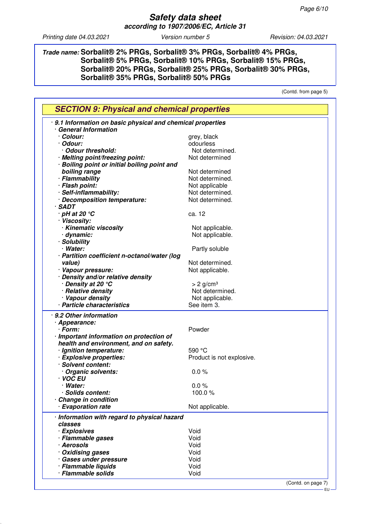**Trade name: Sorbalit® 2% PRGs, Sorbalit® 3% PRGs, Sorbalit® 4% PRGs, Sorbalit® 5% PRGs, Sorbalit® 10% PRGs, Sorbalit® 15% PRGs, Sorbalit® 20% PRGs, Sorbalit® 25% PRGs, Sorbalit® 30% PRGs, Sorbalit® 35% PRGs, Sorbalit® 50% PRGs**

(Contd. from page 5)

| 9.1 Information on basic physical and chemical properties |                           |  |
|-----------------------------------------------------------|---------------------------|--|
| · General Information                                     |                           |  |
| · Colour:                                                 | grey, black               |  |
| · Odour:                                                  | odourless                 |  |
| · Odour threshold:                                        | Not determined.           |  |
| · Melting point/freezing point:                           | Not determined            |  |
| · Boiling point or initial boiling point and              |                           |  |
| boiling range                                             | Not determined            |  |
| · Flammability                                            | Not determined.           |  |
| · Flash point:                                            | Not applicable            |  |
| · Self-inflammability:                                    | Not determined.           |  |
| · Decomposition temperature:                              | Not determined.           |  |
| $·$ SADT                                                  |                           |  |
| $\cdot$ pH at 20 $^{\circ}$ C                             | ca. 12                    |  |
| · Viscosity:                                              |                           |  |
| · Kinematic viscosity                                     | Not applicable.           |  |
| · dynamic:                                                | Not applicable.           |  |
| · Solubility                                              |                           |  |
| · Water:                                                  | Partly soluble            |  |
| · Partition coefficient n-octanol/water (log              |                           |  |
| value)                                                    | Not determined.           |  |
| · Vapour pressure:                                        | Not applicable.           |  |
| · Density and/or relative density                         |                           |  |
| ∙ Density at 20 °C                                        | $> 2$ g/cm <sup>3</sup>   |  |
| · Relative density                                        | Not determined.           |  |
| · Vapour density                                          | Not applicable.           |  |
| · Particle characteristics                                | See item 3.               |  |
|                                                           |                           |  |
| · 9.2 Other information                                   |                           |  |
| · Appearance:                                             |                           |  |
| · Form:                                                   | Powder                    |  |
| · Important information on protection of                  |                           |  |
| health and environment, and on safety.                    |                           |  |
| · Ignition temperature:                                   | 590 °C                    |  |
| · Explosive properties:                                   | Product is not explosive. |  |
| · Solvent content:                                        |                           |  |
| Organic solvents:                                         | 0.0%                      |  |
| · VOC EU                                                  |                           |  |
| · Water:                                                  | 0.0%                      |  |
| · Solids content:                                         | 100.0%                    |  |
| <b>Change in condition</b>                                |                           |  |
| · Evaporation rate                                        | Not applicable.           |  |
| · Information with regard to physical hazard              |                           |  |
| classes                                                   |                           |  |
| · Explosives                                              | Void                      |  |
| · Flammable gases                                         | Void                      |  |
| · Aerosols                                                | Void                      |  |
| · Oxidising gases                                         | Void                      |  |
| · Gases under pressure                                    | Void                      |  |
|                                                           | Void                      |  |
| · Flammable liquids                                       |                           |  |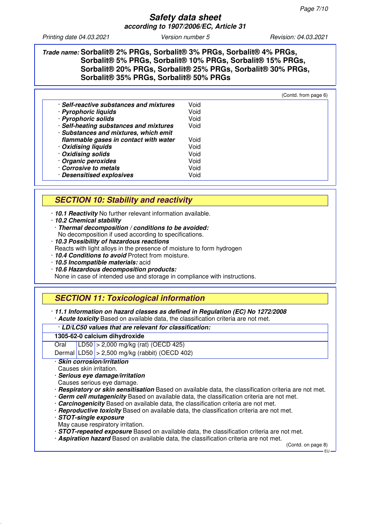## **Trade name: Sorbalit® 2% PRGs, Sorbalit® 3% PRGs, Sorbalit® 4% PRGs, Sorbalit® 5% PRGs, Sorbalit® 10% PRGs, Sorbalit® 15% PRGs, Sorbalit® 20% PRGs, Sorbalit® 25% PRGs, Sorbalit® 30% PRGs, Sorbalit® 35% PRGs, Sorbalit® 50% PRGs**

|                                         |      | (Contd. from page 6) |
|-----------------------------------------|------|----------------------|
| · Self-reactive substances and mixtures | Void |                      |
| · Pyrophoric liquids                    | Void |                      |
| · Pyrophoric solids                     | Void |                      |
| · Self-heating substances and mixtures  | Void |                      |
| · Substances and mixtures, which emit   |      |                      |
| flammable gases in contact with water   | Void |                      |
| · Oxidising liquids                     | Void |                      |
| · Oxidising solids                      | Void |                      |
| · Organic peroxides                     | Void |                      |
| Corrosive to metals                     | Void |                      |
| · Desensitised explosives               | Void |                      |

# **SECTION 10: Stability and reactivity**

· **10.1 Reactivity** No further relevant information available.

- · **10.2 Chemical stability**
- · **Thermal decomposition / conditions to be avoided:** No decomposition if used according to specifications.
- · **10.3 Possibility of hazardous reactions**
- Reacts with light alloys in the presence of moisture to form hydrogen
- · **10.4 Conditions to avoid** Protect from moisture.
- · **10.5 Incompatible materials:** acid
- · **10.6 Hazardous decomposition products:**

None in case of intended use and storage in compliance with instructions.

# **SECTION 11: Toxicological information**

· **11.1 Information on hazard classes as defined in Regulation (EC) No 1272/2008** · **Acute toxicity** Based on available data, the classification criteria are not met.

### · **LD/LC50 values that are relevant for classification:**

### **1305-62-0 calcium dihydroxide**

Oral LD50 > 2,000 mg/kg (rat) (OECD 425)

Dermal LD50 > 2,500 mg/kg (rabbit) (OECD 402)

- · **Skin corrosion/irritation**
- Causes skin irritation.
- · **Serious eye damage/irritation**

Causes serious eye damage.

- · **Respiratory or skin sensitisation** Based on available data, the classification criteria are not met.
- · **Germ cell mutagenicity** Based on available data, the classification criteria are not met.
- · **Carcinogenicity** Based on available data, the classification criteria are not met.
- · **Reproductive toxicity** Based on available data, the classification criteria are not met.
- · **STOT-single exposure**
- May cause respiratory irritation.
- · **STOT-repeated exposure** Based on available data, the classification criteria are not met.
- · **Aspiration hazard** Based on available data, the classification criteria are not met.

(Contd. on page 8)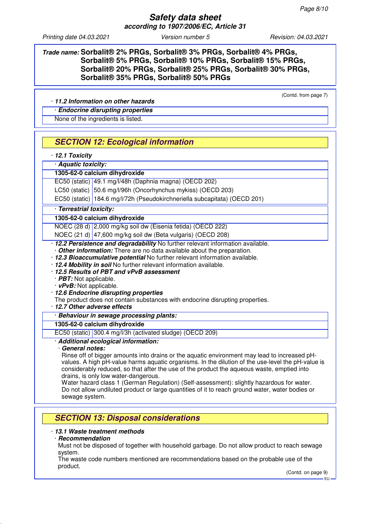**Trade name: Sorbalit® 2% PRGs, Sorbalit® 3% PRGs, Sorbalit® 4% PRGs, Sorbalit® 5% PRGs, Sorbalit® 10% PRGs, Sorbalit® 15% PRGs, Sorbalit® 20% PRGs, Sorbalit® 25% PRGs, Sorbalit® 30% PRGs, Sorbalit® 35% PRGs, Sorbalit® 50% PRGs**

(Contd. from page 7)

## · **11.2 Information on other hazards**

· **Endocrine disrupting properties**

None of the ingredients is listed.

## **SECTION 12: Ecological information**

· **12.1 Toxicity**

## · **Aquatic toxicity:**

## **1305-62-0 calcium dihydroxide**

EC50 (static) 49.1 mg/l/48h (Daphnia magna) (OECD 202)

LC50 (static) 50.6 mg/l/96h (Oncorhynchus mykiss) (OECD 203)

EC50 (static) 184.6 mg/l/72h (Pseudokirchneriella subcapitata) (OECD 201)

## · **Terrestrial toxicity:**

## **1305-62-0 calcium dihydroxide**

NOEC (28 d) 2,000 mg/kg soil dw (Eisenia fetida) (OECD 222)

NOEC (21 d) 47,600 mg/kg soil dw (Beta vulgaris) (OECD 208)

· **12.2 Persistence and degradability** No further relevant information available.

· **Other information:** There are no data available about the preparation.

· **12.3 Bioaccumulative potential** No further relevant information available.

- · **12.4 Mobility in soil** No further relevant information available.
- · **12.5 Results of PBT and vPvB assessment**
- · **PBT:** Not applicable.
- · **vPvB:** Not applicable.
- · **12.6 Endocrine disrupting properties**

The product does not contain substances with endocrine disrupting properties.

· **12.7 Other adverse effects**

### · **Behaviour in sewage processing plants:**

## **1305-62-0 calcium dihydroxide**

EC50 (static) 300.4 mg/l/3h (activated sludge) (OECD 209)

## · **Additional ecological information:**

## · **General notes:**

Rinse off of bigger amounts into drains or the aquatic environment may lead to increased pHvalues. A high pH-value harms aquatic organisms. In the dilution of the use-level the pH-value is considerably reduced, so that after the use of the product the aqueous waste, emptied into drains, is only low water-dangerous.

Water hazard class 1 (German Regulation) (Self-assessment): slightly hazardous for water. Do not allow undiluted product or large quantities of it to reach ground water, water bodies or sewage system.

## **SECTION 13: Disposal considerations**

## · **13.1 Waste treatment methods**

### · **Recommendation**

Must not be disposed of together with household garbage. Do not allow product to reach sewage system.

The waste code numbers mentioned are recommendations based on the probable use of the product.

(Contd. on page 9)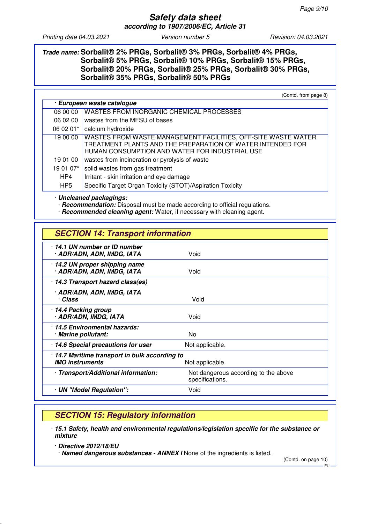## **Trade name: Sorbalit® 2% PRGs, Sorbalit® 3% PRGs, Sorbalit® 4% PRGs, Sorbalit® 5% PRGs, Sorbalit® 10% PRGs, Sorbalit® 15% PRGs, Sorbalit® 20% PRGs, Sorbalit® 25% PRGs, Sorbalit® 30% PRGs, Sorbalit® 35% PRGs, Sorbalit® 50% PRGs**

(Contd. from page 8)

| · European waste catalogue |                                                                                                                                                                               |
|----------------------------|-------------------------------------------------------------------------------------------------------------------------------------------------------------------------------|
| 06 00 00                   | <b>WASTES FROM INORGANIC CHEMICAL PROCESSES</b>                                                                                                                               |
| 06 02 00                   | wastes from the MFSU of bases                                                                                                                                                 |
| 06 02 01*                  | calcium hydroxide                                                                                                                                                             |
| 19 00 00                   | WASTES FROM WASTE MANAGEMENT FACILITIES, OFF-SITE WASTE WATER<br>TREATMENT PLANTS AND THE PREPARATION OF WATER INTENDED FOR<br>HUMAN CONSUMPTION AND WATER FOR INDUSTRIAL USE |
| 19 01 00                   | wastes from incineration or pyrolysis of waste                                                                                                                                |
| 19 01 07*                  | solid wastes from gas treatment                                                                                                                                               |
| HP4                        | Irritant - skin irritation and eye damage                                                                                                                                     |
| HP <sub>5</sub>            | Specific Target Organ Toxicity (STOT)/Aspiration Toxicity                                                                                                                     |

· **Uncleaned packagings:**

· **Recommendation:** Disposal must be made according to official regulations.

· **Recommended cleaning agent:** Water, if necessary with cleaning agent.

| <b>SECTION 14: Transport information</b>                                                  |                                                         |  |
|-------------------------------------------------------------------------------------------|---------------------------------------------------------|--|
| 14.1 UN number or ID number<br>· ADR/ADN, ADN, IMDG, IATA                                 | Void                                                    |  |
| 14.2 UN proper shipping name<br>· ADR/ADN, ADN, IMDG, IATA                                | Void                                                    |  |
| · 14.3 Transport hazard class(es)                                                         |                                                         |  |
| · ADR/ADN, ADN, IMDG, IATA<br>· Class                                                     | Void                                                    |  |
| 14.4 Packing group<br>· ADR/ADN, IMDG, IATA                                               | Void                                                    |  |
| · 14.5 Environmental hazards:<br>· Marine pollutant:                                      | No                                                      |  |
| 14.6 Special precautions for user                                                         | Not applicable.                                         |  |
| 14.7 Maritime transport in bulk according to<br><b>IMO instruments</b><br>Not applicable. |                                                         |  |
| · Transport/Additional information:                                                       | Not dangerous according to the above<br>specifications. |  |
| · UN "Model Regulation":                                                                  | Void                                                    |  |

# **SECTION 15: Regulatory information**

- · **15.1 Safety, health and environmental regulations/legislation specific for the substance or mixture**
	- · **Directive 2012/18/EU** · **Named dangerous substances - ANNEX I** None of the ingredients is listed.

(Contd. on page 10) EU